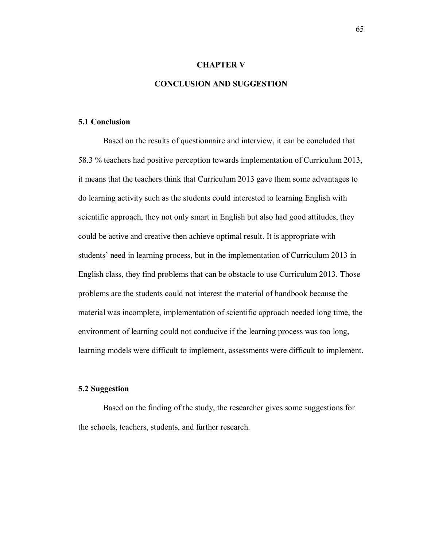## **CHAPTER V**

## **CONCLUSION AND SUGGESTION**

## **5.1 Conclusion**

Based on the results of questionnaire and interview, it can be concluded that 58.3 % teachers had positive perception towards implementation of Curriculum 2013, it means that the teachers think that Curriculum 2013 gave them some advantages to do learning activity such as the students could interested to learning English with scientific approach, they not only smart in English but also had good attitudes, they could be active and creative then achieve optimal result. It is appropriate with students' need in learning process, but in the implementation of Curriculum 2013 in English class, they find problems that can be obstacle to use Curriculum 2013. Those problems are the students could not interest the material of handbook because the material was incomplete, implementation of scientific approach needed long time, the environment of learning could not conducive if the learning process was too long, learning models were difficult to implement, assessments were difficult to implement.

## **5.2 Suggestion**

Based on the finding of the study, the researcher gives some suggestions for the schools, teachers, students, and further research.